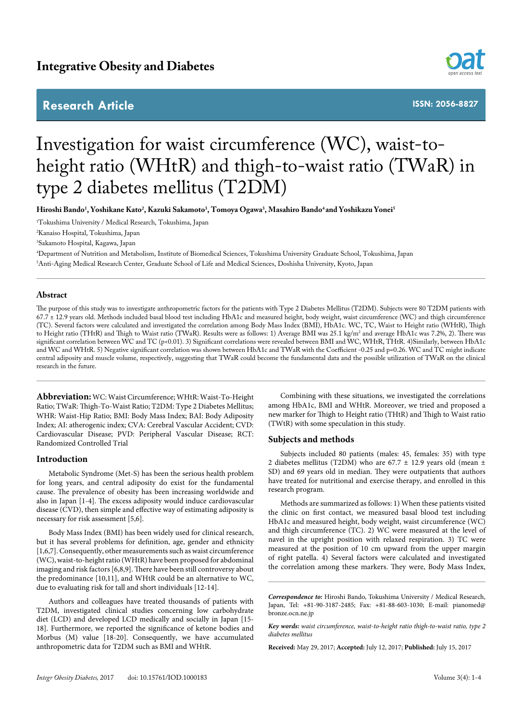## **Research Article**



**ISSN: 2056-8827**

# Investigation for waist circumference (WC), waist-toheight ratio (WHtR) and thigh-to-waist ratio (TWaR) in type 2 diabetes mellitus (T2DM)

**Hiroshi Bando1 , Yoshikane Kato2 , Kazuki Sakamoto3 , Tomoya Ogawa3 , Masahiro Bando4 and Yoshikazu Yonei5**

1 Tokushima University / Medical Research, Tokushima, Japan

2 Kanaiso Hospital, Tokushima, Japan

3 Sakamoto Hospital, Kagawa, Japan

4 Department of Nutrition and Metabolism, Institute of Biomedical Sciences, Tokushima University Graduate School, Tokushima, Japan 5 Anti-Aging Medical Research Center, Graduate School of Life and Medical Sciences, Doshisha University, Kyoto, Japan

### **Abstract**

The purpose of this study was to investigate anthropometric factors for the patients with Type 2 Diabetes Mellitus (T2DM). Subjects were 80 T2DM patients with 67.7 ± 12.9 years old. Methods included basal blood test including HbA1c and measured height, body weight, waist circumference (WC) and thigh circumference (TC). Several factors were calculated and investigated the correlation among Body Mass Index (BMI), HbA1c. WC, TC, Waist to Height ratio (WHtR), Thigh to Height ratio (THtR) and Thigh to Waist ratio (TWaR). Results were as follows: 1) Average BMI was 25.1 kg/m² and average HbA1c was 7.2%, 2). There was significant correlation between WC and TC (p<0.01). 3) Significant correlations were revealed between BMI and WC, WHtR, THtR. 4)Similarly, between HbA1c and WC and WHtR. 5) Negative significant correlation was shown between HbA1c and TWaR with the Coefficient -0.25 and p=0.26. WC and TC might indicate central adiposity and muscle volume, respectively, suggesting that TWaR could become the fundamental data and the possible utilization of TWaR on the clinical research in the future.

**Abbreviation:**WC: Waist Circumference; WHtR: Waist-To-Height Ratio; TWaR: Thigh-To-Waist Ratio; T2DM: Type 2 Diabetes Mellitus; WHR: Waist-Hip Ratio; BMI: Body Mass Index; BAI: Body Adiposity Index; AI: atherogenic index; CVA: Cerebral Vascular Accident; CVD: Cardiovascular Disease; PVD: Peripheral Vascular Disease; RCT: Randomized Controlled Trial

#### **Introduction**

Metabolic Syndrome (Met-S) has been the serious health problem for long years, and central adiposity do exist for the fundamental cause. The prevalence of obesity has been increasing worldwide and also in Japan [1-4]. The excess adiposity would induce cardiovascular disease (CVD), then simple and effective way of estimating adiposity is necessary for risk assessment [5,6].

Body Mass Index (BMI) has been widely used for clinical research, but it has several problems for definition, age, gender and ethnicity [1,6,7]. Consequently, other measurements such as waist circumference (WC), waist-to-height ratio (WHtR) have been proposed for abdominal imaging and risk factors [6,8,9]. There have been still controversy about the predominance [10,11], and WHtR could be an alternative to WC, due to evaluating risk for tall and short individuals [12-14].

Authors and colleagues have treated thousands of patients with T2DM, investigated clinical studies concerning low carbohydrate diet (LCD) and developed LCD medically and socially in Japan [15- 18]. Furthermore, we reported the significance of ketone bodies and Morbus (M) value [18-20]. Consequently, we have accumulated anthropometric data for T2DM such as BMI and WHtR.

Combining with these situations, we investigated the correlations among HbA1c, BMI and WHtR. Moreover, we tried and proposed a new marker for Thigh to Height ratio (THtR) and Thigh to Waist ratio (TWtR) with some speculation in this study.

#### **Subjects and methods**

Subjects included 80 patients (males: 45, females: 35) with type 2 diabetes mellitus (T2DM) who are 67.7  $\pm$  12.9 years old (mean  $\pm$ SD) and 69 years old in median. They were outpatients that authors have treated for nutritional and exercise therapy, and enrolled in this research program.

Methods are summarized as follows: 1) When these patients visited the clinic on first contact, we measured basal blood test including HbA1c and measured height, body weight, waist circumference (WC) and thigh circumference (TC). 2) WC were measured at the level of navel in the upright position with relaxed respiration. 3) TC were measured at the position of 10 cm upward from the upper margin of right patella. 4) Several factors were calculated and investigated the correlation among these markers. They were, Body Mass Index,

*Correspondence to:* Hiroshi Bando, Tokushima University / Medical Research, Japan, Tel: +81-90-3187-2485; Fax: +81-88-603-1030; E-mail: pianomed@ bronze.ocn.ne.jp

*Key words: waist circumference, waist-to-height ratio thigh-to-waist ratio, type 2 diabetes mellitus*

**Received:** May 29, 2017; **Accepted:** July 12, 2017; **Published:** July 15, 2017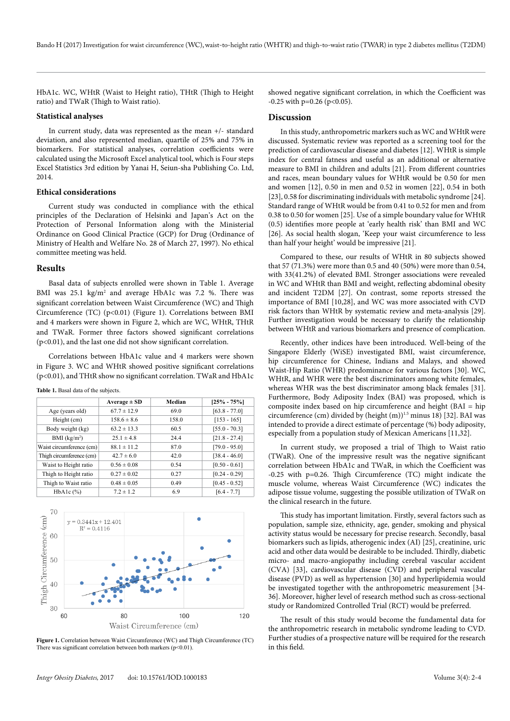HbA1c. WC, WHtR (Waist to Height ratio), THtR (Thigh to Height ratio) and TWaR (Thigh to Waist ratio).

#### **Statistical analyses**

In current study, data was represented as the mean +/- standard deviation, and also represented median, quartile of 25% and 75% in biomarkers. For statistical analyses, correlation coefficients were calculated using the Microsoft Excel analytical tool, which is Four steps Excel Statistics 3rd edition by Yanai H, Seiun-sha Publishing Co. Ltd, 2014.

#### **Ethical considerations**

Current study was conducted in compliance with the ethical principles of the Declaration of Helsinki and Japan's Act on the Protection of Personal Information along with the Ministerial Ordinance on Good Clinical Practice (GCP) for Drug (Ordinance of Ministry of Health and Welfare No. 28 of March 27, 1997). No ethical committee meeting was held.

#### **Results**

Basal data of subjects enrolled were shown in Table 1. Average BMI was 25.1 kg/m<sup>2</sup> and average HbA1c was 7.2 %. There was significant correlation between Waist Circumference (WC) and Thigh Circumference (TC) (p<0.01) (Figure 1). Correlations between BMI and 4 markers were shown in Figure 2, which are WC, WHtR, THtR and TWaR. Former three factors showed significant correlations (p<0.01), and the last one did not show significant correlation.

Correlations between HbA1c value and 4 markers were shown in Figure 3. WC and WHtR showed positive significant correlations (p<0.01), and THtR show no significant correlation. TWaR and HbA1c

|  |  |  |  |  | Table 1. Basal data of the subjects. |
|--|--|--|--|--|--------------------------------------|
|--|--|--|--|--|--------------------------------------|

|                          | $Average \pm SD$ | Median | $[25\% - 75\%]$ |
|--------------------------|------------------|--------|-----------------|
| Age (years old)          | $67.7 \pm 12.9$  | 69.0   | $[63.8 - 77.0]$ |
| Height (cm)              | $158.6 \pm 8.6$  | 158.0  | $[153 - 165]$   |
| Body weight (kg)         | $63.2 \pm 13.3$  | 60.5   | $[55.0 - 70.3]$ |
| BMI (kg/m <sup>2</sup> ) | $25.1 \pm 4.8$   | 24.4   | $[21.8 - 27.4]$ |
| Waist circumference (cm) | $88.1 \pm 11.2$  | 87.0   | $[79.0 - 95.0]$ |
| Thigh circumference (cm) | $42.7 \pm 6.0$   | 42.0   | $[38.4 - 46.0]$ |
| Waist to Height ratio    | $0.56 \pm 0.08$  | 0.54   | $[0.50 - 0.61]$ |
| Thigh to Height ratio    | $0.27 \pm 0.02$  | 0.27   | $[0.24 - 0.29]$ |
| Thigh to Waist ratio     | $0.48 \pm 0.05$  | 0.49   | $[0.45 - 0.52]$ |
| $HbA1c$ $(\%)$           | $7.2 \pm 1.2$    | 6.9    | $[6.4 - 7.7]$   |



**Figure 1.** Correlation between Waist Circumference (WC) and Thigh Circumference (TC) There was significant correlation between both markers ( $p$ <0.01).

showed negative significant correlation, in which the Coefficient was  $-0.25$  with p=0.26 (p<0.05).

#### **Discussion**

In this study, anthropometric markers such as WC and WHtR were discussed. Systematic review was reported as a screening tool for the prediction of cardiovascular disease and diabetes [12]. WHtR is simple index for central fatness and useful as an additional or alternative measure to BMI in children and adults [21]. From different countries and races, mean boundary values for WHtR would be 0.50 for men and women [12], 0.50 in men and 0.52 in women [22], 0.54 in both [23], 0.58 for discriminating individuals with metabolic syndrome [24]. Standard range of WHtR would be from 0.41 to 0.52 for men and from 0.38 to 0.50 for women [25]. Use of a simple boundary value for WHtR (0.5) identifies more people at 'early health risk' than BMI and WC [26]. As social health slogan, 'Keep your waist circumference to less than half your height' would be impressive [21].

Compared to these, our results of WHtR in 80 subjects showed that 57 (71.3%) were more than 0.5 and 40 (50%) were more than 0.54, with 33(41.2%) of elevated BMI. Stronger associations were revealed in WC and WHtR than BMI and weight, reflecting abdominal obesity and incident T2DM [27]. On contrast, some reports stressed the importance of BMI [10,28], and WC was more associated with CVD risk factors than WHtR by systematic review and meta-analysis [29]. Further investigation would be necessary to clarify the relationship between WHtR and various biomarkers and presence of complication.

Recently, other indices have been introduced. Well-being of the Singapore Elderly (WiSE) investigated BMI, waist circumference, hip circumference for Chinese, Indians and Malays, and showed Waist-Hip Ratio (WHR) predominance for various factors [30]. WC, WHtR, and WHR were the best discriminators among white females, whereas WHR was the best discriminator among black females [31]. Furthermore, Body Adiposity Index (BAI) was proposed, which is composite index based on hip circumference and height (BAI = hip circumference (cm) divided by (height (m))<sup>1.5</sup> minus 18) [32]. BAI was intended to provide a direct estimate of percentage (%) body adiposity, especially from a population study of Mexican Americans [11,32].

In current study, we proposed a trial of Thigh to Waist ratio (TWaR). One of the impressive result was the negative significant correlation between HbA1c and TWaR, in which the Coefficient was -0.25 with p=0.26. Thigh Circumference (TC) might indicate the muscle volume, whereas Waist Circumference (WC) indicates the adipose tissue volume, suggesting the possible utilization of TWaR on the clinical research in the future.

This study has important limitation. Firstly, several factors such as population, sample size, ethnicity, age, gender, smoking and physical activity status would be necessary for precise research. Secondly, basal biomarkers such as lipids, atherogenic index (AI) [25], creatinine, uric acid and other data would be desirable to be included. Thirdly, diabetic micro- and macro-angiopathy including cerebral vascular accident (CVA) [33], cardiovascular disease (CVD) and peripheral vascular disease (PVD) as well as hypertension [30] and hyperlipidemia would be investigated together with the anthropometric measurement [34- 36]. Moreover, higher level of research method such as cross-sectional study or Randomized Controlled Trial (RCT) would be preferred.

The result of this study would become the fundamental data for the anthropometric research in metabolic syndrome leading to CVD. Further studies of a prospective nature will be required for the research in this field.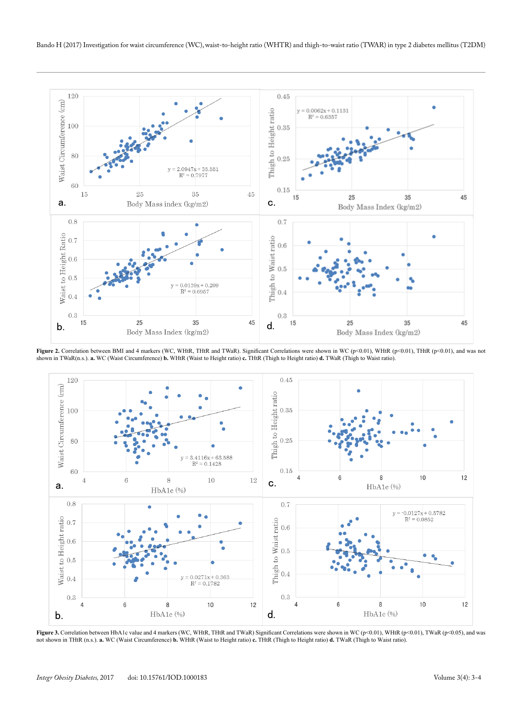

Figure 2. Correlation between BMI and 4 markers (WC, WHtR, THtR and TWaR). Significant Correlations were shown in WC (p<0.01), WHtR (p<0.01), THtR (p<0.01), and was not shown in TWaR(n.s.). **a.** WC (Waist Circumference) **b.** WHtR (Waist to Height ratio) **c.** THtR (Thigh to Height ratio) **d.** TWaR (Thigh to Waist ratio).



**Figure 3.** Correlation between HbA1c value and 4 markers (WC, WHtR, THtR and TWaR) Significant Correlations were shown in WC (p<0.01), WHtR (p<0.01), TWaR (p<0.05), and was not shown in THtR (n.s.). **a.** WC (Waist Circumference) **b.** WHtR (Waist to Height ratio) **c.** THtR (Thigh to Height ratio) **d.** TWaR (Thigh to Waist ratio).